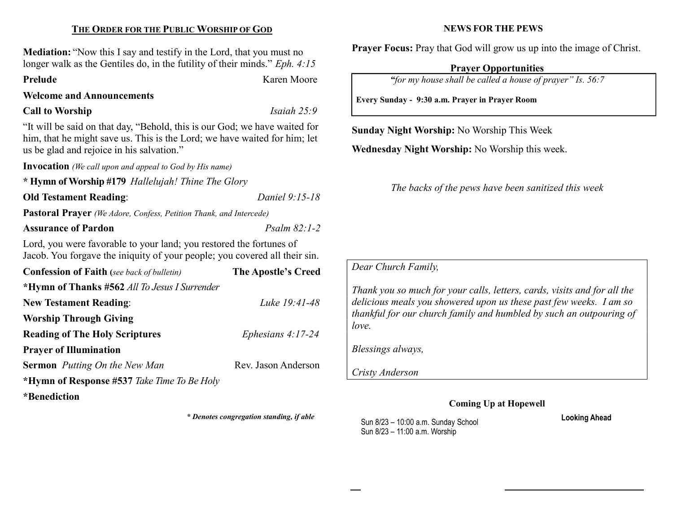# THE ORDER FOR THE PUBLIC WORSHIP OF GOD

Mediation: "Now this I say and testify in the Lord, that you must no longer walk as the Gentiles do, in the futility of their minds." *Eph. 4:15* Prelude Karen Moore

# Welcome and Announcements

#### Call to Worship Isaiah 25:9

"It will be said on that day, "Behold, this is our God; we have waited for him, that he might save us. This is the Lord; we have waited for him; let us be glad and rejoice in his salvation."

Invocation (We call upon and appeal to God by His name)

\* Hymn of Worship #179 Hallelujah! Thine The Glory

# Old Testament Reading: Daniel 9:15-18

Pastoral Prayer (We Adore, Confess, Petition Thank, and Intercede)

## Assurance of Pardon **Properties Psalm 82:1-2**

Lord, you were favorable to your land; you restored the fortunes of Jacob. You forgave the iniquity of your people; you covered all their sin.

| <b>Confession of Faith</b> (see back of bulletin) | The Apostle's Creed |
|---------------------------------------------------|---------------------|
| *Hymn of Thanks #562 All To Jesus I Surrender     |                     |
| <b>New Testament Reading:</b>                     | Luke 19:41-48       |
| <b>Worship Through Giving</b>                     |                     |
| <b>Reading of The Holy Scriptures</b>             | Ephesians $4:17-24$ |
| <b>Prayer of Illumination</b>                     |                     |
| <b>Sermon</b> Putting On the New Man              | Rev. Jason Anderson |
| *Hymn of Response #537 Take Time To Be Holy       |                     |
| *Benediction                                      |                     |

\* Denotes congregation standing, if able

#### NEWS FOR THE PEWS

Prayer Focus: Pray that God will grow us up into the image of Christ.

#### Prayer Opportunities

"for my house shall be called a house of prayer" Is. 56:7

Every Sunday - 9:30 a.m. Prayer in Prayer Room

Sunday Night Worship: No Worship This Week

Wednesday Night Worship: No Worship this week.

The backs of the pews have been sanitized this week

Dear Church Family,

Thank you so much for your calls, letters, cards, visits and for all the delicious meals you showered upon us these past few weeks. I am so thankful for our church family and humbled by such an outpouring of love.

Blessings always,

Cristy Anderson

## Coming Up at Hopewell

Sun 8/23 – 10:00 a.m. Sunday School Sun 8/23 – 11:00 a.m. Worship

Looking Ahead